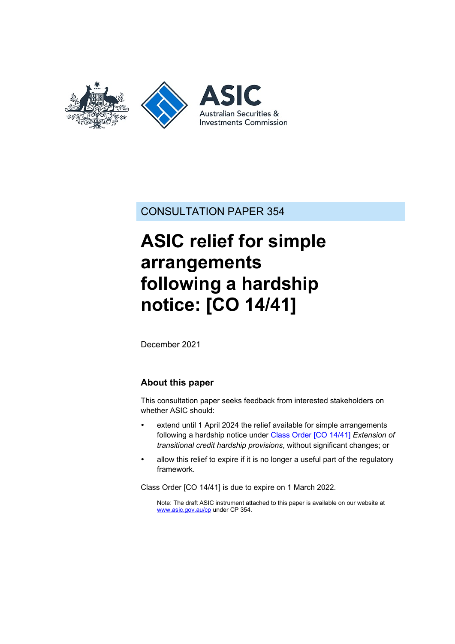

CONSULTATION PAPER 354

# **ASIC relief for simple arrangements following a hardship notice: [CO 14/41]**

December 2021

### **About this paper**

This consultation paper seeks feedback from interested stakeholders on whether ASIC should:

- extend until 1 April 2024 the relief available for simple arrangements following a hardship notice under Class [Order \[CO](https://www.legislation.gov.au/Details/F2018C00143) 14/41] *Extension of transitional credit hardship provisions*, without significant changes; or
- allow this relief to expire if it is no longer a useful part of the regulatory framework.

Class Order [CO 14/41] is due to expire on 1 March 2022.

Note: The draft ASIC instrument attached to this paper is available on our website at [www.asic.gov.au/cp](http://www.asic.gov.au/regulatory-resources/find-a-document/consultation-papers/) under CP 354.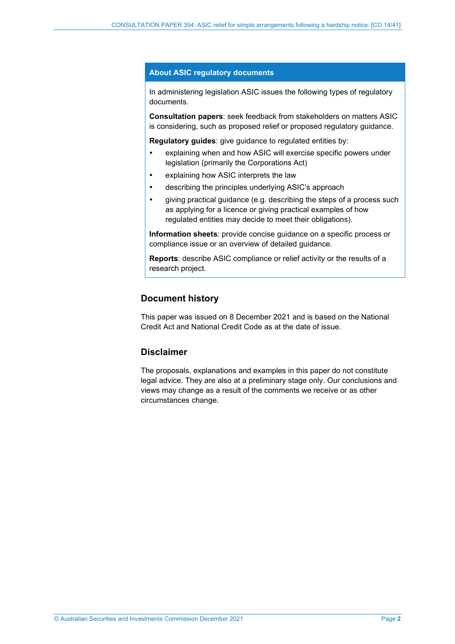#### **About ASIC regulatory documents**

In administering legislation ASIC issues the following types of regulatory documents.

**Consultation papers**: seek feedback from stakeholders on matters ASIC is considering, such as proposed relief or proposed regulatory guidance.

**Regulatory guides**: give guidance to regulated entities by:

- explaining when and how ASIC will exercise specific powers under legislation (primarily the Corporations Act)
- explaining how ASIC interprets the law
- describing the principles underlying ASIC's approach
- giving practical guidance (e.g. describing the steps of a process such as applying for a licence or giving practical examples of how regulated entities may decide to meet their obligations).

**Information sheets**: provide concise guidance on a specific process or compliance issue or an overview of detailed guidance.

**Reports**: describe ASIC compliance or relief activity or the results of a research project.

### **Document history**

This paper was issued on 8 December 2021 and is based on the National Credit Act and National Credit Code as at the date of issue.

### **Disclaimer**

The proposals, explanations and examples in this paper do not constitute legal advice. They are also at a preliminary stage only. Our conclusions and views may change as a result of the comments we receive or as other circumstances change.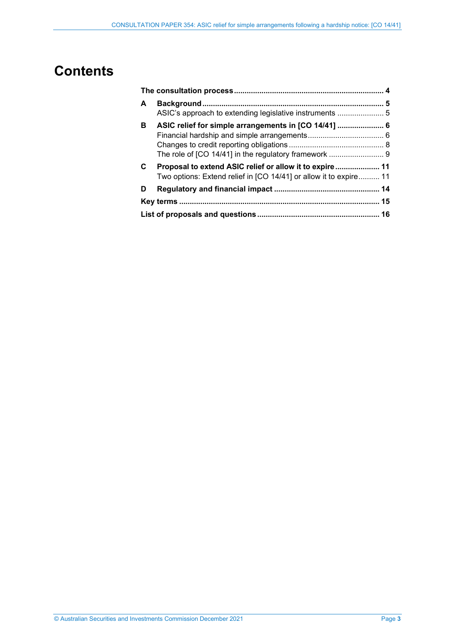# **Contents**

| A  |                                                                                                                              |  |
|----|------------------------------------------------------------------------------------------------------------------------------|--|
| B. | ASIC relief for simple arrangements in [CO 14/41]  6<br>The role of [CO 14/41] in the regulatory framework  9                |  |
| C. | Proposal to extend ASIC relief or allow it to expire 11<br>Two options: Extend relief in [CO 14/41] or allow it to expire 11 |  |
| D  |                                                                                                                              |  |
|    |                                                                                                                              |  |
|    |                                                                                                                              |  |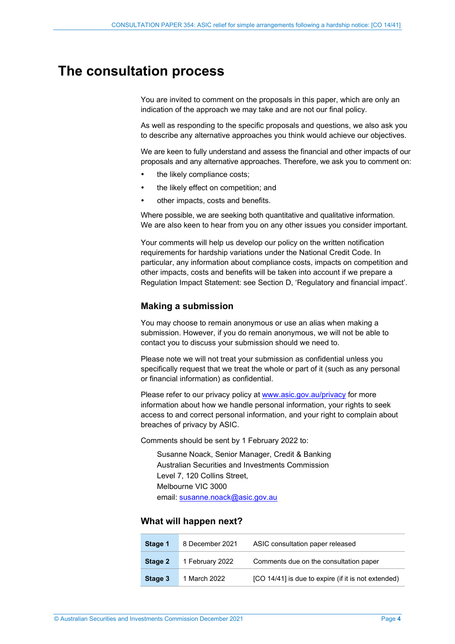### <span id="page-3-1"></span><span id="page-3-0"></span>**The consultation process**

You are invited to comment on the proposals in this paper, which are only an indication of the approach we may take and are not our final policy.

As well as responding to the specific proposals and questions, we also ask you to describe any alternative approaches you think would achieve our objectives.

We are keen to fully understand and assess the financial and other impacts of our proposals and any alternative approaches. Therefore, we ask you to comment on:

- the likely compliance costs;
- the likely effect on competition; and
- other impacts, costs and benefits.

Where possible, we are seeking both quantitative and qualitative information. We are also keen to hear from you on any other issues you consider important.

Your comments will help us develop our policy on the written notification requirements for hardship variations under the National Credit Code. In particular, any information about compliance costs, impacts on competition and other impacts, costs and benefits will be taken into account if we prepare a Regulation Impact Statement: see Section [D,](#page-13-0) 'Regulatory and financial impact'.

#### **Making a submission**

You may choose to remain anonymous or use an alias when making a submission. However, if you do remain anonymous, we will not be able to contact you to discuss your submission should we need to.

Please note we will not treat your submission as confidential unless you specifically request that we treat the whole or part of it (such as any personal or financial information) as confidential.

Please refer to our privacy policy at [www.asic.gov.au/privacy](http://www.asic.gov.au/privacy) for more information about how we handle personal information, your rights to seek access to and correct personal information, and your right to complain about breaches of privacy by ASIC.

Comments should be sent by 1 February 2022 to:

Susanne Noack, Senior Manager, Credit & Banking Australian Securities and Investments Commission Level 7, 120 Collins Street, Melbourne VIC 3000 email: [susanne.noack@asic.gov.au](mailto:susanne.noack@asic.gov.au) 

#### **What will happen next?**

| Stage 1 | 8 December 2021 | ASIC consultation paper released                    |
|---------|-----------------|-----------------------------------------------------|
| Stage 2 | 1 February 2022 | Comments due on the consultation paper              |
| Stage 3 | 1 March 2022    | [CO 14/41] is due to expire (if it is not extended) |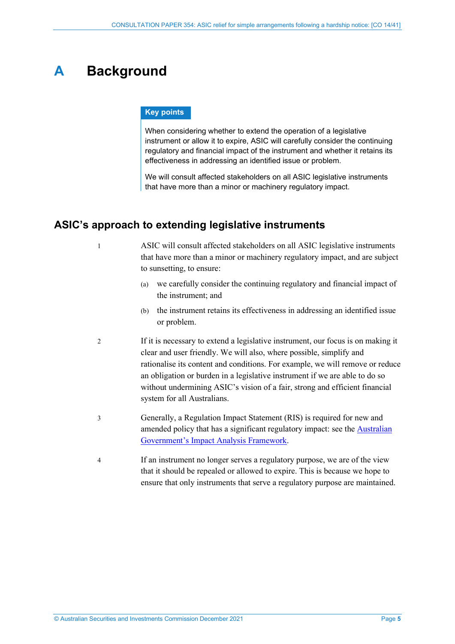# <span id="page-4-0"></span>**A Background**

### **Key points**

When considering whether to extend the operation of a legislative instrument or allow it to expire, ASIC will carefully consider the continuing regulatory and financial impact of the instrument and whether it retains its effectiveness in addressing an identified issue or problem.

We will consult affected stakeholders on all ASIC legislative instruments that have more than a minor or machinery regulatory impact.

### <span id="page-4-1"></span>**ASIC's approach to extending legislative instruments**

1 ASIC will consult affected stakeholders on all ASIC legislative instruments that have more than a minor or machinery regulatory impact, and are subject to sunsetting, to ensure:

- (a) we carefully consider the continuing regulatory and financial impact of the instrument; and
- (b) the instrument retains its effectiveness in addressing an identified issue or problem.
- 2 If it is necessary to extend a legislative instrument, our focus is on making it clear and user friendly. We will also, where possible, simplify and rationalise its content and conditions. For example, we will remove or reduce an obligation or burden in a legislative instrument if we are able to do so without undermining ASIC's vision of a fair, strong and efficient financial system for all Australians.
- 3 Generally, a Regulation Impact Statement (RIS) is required for new and amended policy that has a significant regulatory impact: see the **Australian** [Government's Impact Analysis Framework.](https://obpr.pmc.gov.au/impact-analysis-process)
- 4 If an instrument no longer serves a regulatory purpose, we are of the view that it should be repealed or allowed to expire. This is because we hope to ensure that only instruments that serve a regulatory purpose are maintained.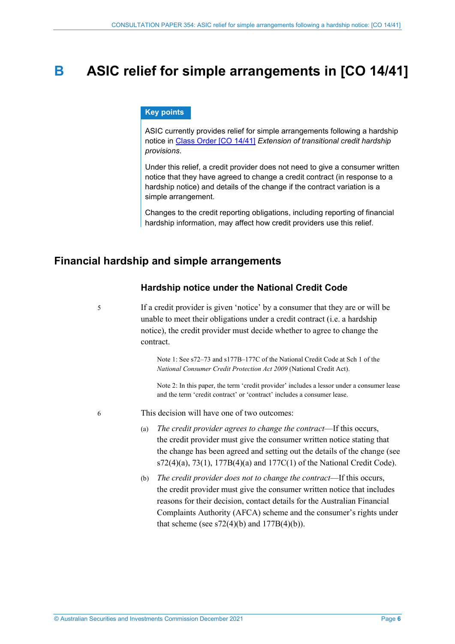### <span id="page-5-0"></span>**B ASIC relief for simple arrangements in [CO 14/41]**

#### **Key points**

ASIC currently provides relief for simple arrangements following a hardship notice in Class [Order \[CO](https://www.legislation.gov.au/Details/F2018C00143) 14/41] *Extension of transitional credit hardship provisions*.

Under this relief, a credit provider does not need to give a consumer written notice that they have agreed to change a credit contract (in response to a hardship notice) and details of the change if the contract variation is a simple arrangement.

Changes to the credit reporting obligations, including reporting of financial hardship information, may affect how credit providers use this relief.

### <span id="page-5-1"></span>**Financial hardship and simple arrangements**

### **Hardship notice under the National Credit Code**

5 If a credit provider is given 'notice' by a consumer that they are or will be unable to meet their obligations under a credit contract (i.e. a hardship notice), the credit provider must decide whether to agree to change the contract.

> Note 1: See s72–73 and s177B–177C of the National Credit Code at Sch 1 of the *National Consumer Credit Protection Act 2009* (National Credit Act).

Note 2: In this paper, the term 'credit provider' includes a lessor under a consumer lease and the term 'credit contract' or 'contract' includes a consumer lease.

<span id="page-5-3"></span><span id="page-5-2"></span>6 This decision will have one of two outcomes:

- (a) *The credit provider agrees to change the contract*—If this occurs, the credit provider must give the consumer written notice stating that the change has been agreed and setting out the details of the change (see  $s72(4)(a)$ ,  $73(1)$ ,  $177B(4)(a)$  and  $177C(1)$  of the National Credit Code).
- (b) *The credit provider does not to change the contract*—If this occurs, the credit provider must give the consumer written notice that includes reasons for their decision, contact details for the Australian Financial Complaints Authority (AFCA) scheme and the consumer's rights under that scheme (see  $s72(4)(b)$  and  $177B(4)(b)$ ).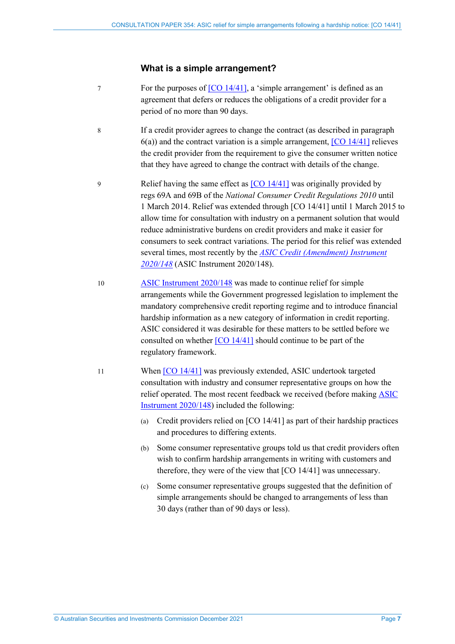### **What is a simple arrangement?**

- 7 For the purposes of [\[CO 14/41\],](https://www.legislation.gov.au/Details/F2018C00143) a 'simple arrangement' is defined as an agreement that defers or reduces the obligations of a credit provider for a period of no more than 90 days.
- 8 If a credit provider agrees to change the contract (as described in paragraph  $6(a)$ ) and the contract variation is a simple arrangement,  $[CO 14/41]$  relieves the credit provider from the requirement to give the consumer written notice that they have agreed to change the contract with details of the change.
- 9 Relief having the same effect as [\[CO 14/41\]](https://www.legislation.gov.au/Details/F2018C00143) was originally provided by regs 69A and 69B of the *National Consumer Credit Regulations 2010* until 1 March 2014. Relief was extended through [CO 14/41] until 1 March 2015 to allow time for consultation with industry on a permanent solution that would reduce administrative burdens on credit providers and make it easier for consumers to seek contract variations. The period for this relief was extended several times, most recently by the *[ASIC Credit \(Amendment\) Instrument](https://www.legislation.gov.au/Details/F2020L00168)  [2020/148](https://www.legislation.gov.au/Details/F2020L00168)* (ASIC Instrument 2020/148).
- 10 [ASIC Instrument 2020/148](https://www.legislation.gov.au/Details/F2020L00168) was made to continue relief for simple arrangements while the Government progressed legislation to implement the mandatory comprehensive credit reporting regime and to introduce financial hardship information as a new category of information in credit reporting. ASIC considered it was desirable for these matters to be settled before we consulted on whether [\[CO 14/41\]](https://www.legislation.gov.au/Details/F2018C00143) should continue to be part of the regulatory framework.
- <span id="page-6-0"></span>11 When [\[CO 14/41\]](https://www.legislation.gov.au/Details/F2018C00143) was previously extended, ASIC undertook targeted consultation with industry and consumer representative groups on how the relief operated. The most recent feedback we received (before making [ASIC](https://www.legislation.gov.au/Details/F2020L00168)  [Instrument 2020/148\)](https://www.legislation.gov.au/Details/F2020L00168) included the following:
	- (a) Credit providers relied on [CO 14/41] as part of their hardship practices and procedures to differing extents.
	- (b) Some consumer representative groups told us that credit providers often wish to confirm hardship arrangements in writing with customers and therefore, they were of the view that [CO 14/41] was unnecessary.
	- (c) Some consumer representative groups suggested that the definition of simple arrangements should be changed to arrangements of less than 30 days (rather than of 90 days or less).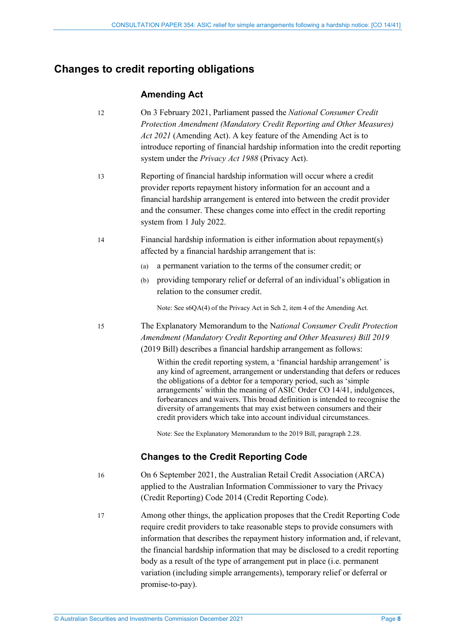### <span id="page-7-0"></span>**Changes to credit reporting obligations**

### **Amending Act**

12 On 3 February 2021, Parliament passed the *National Consumer Credit Protection Amendment (Mandatory Credit Reporting and Other Measures) Act 2021* (Amending Act). A key feature of the Amending Act is to introduce reporting of financial hardship information into the credit reporting system under the *Privacy Act 1988* (Privacy Act).

13 Reporting of financial hardship information will occur where a credit provider reports repayment history information for an account and a financial hardship arrangement is entered into between the credit provider and the consumer. These changes come into effect in the credit reporting system from 1 July 2022.

- 14 Financial hardship information is either information about repayment(s) affected by a financial hardship arrangement that is:
	- (a) a permanent variation to the terms of the consumer credit; or
	- (b) providing temporary relief or deferral of an individual's obligation in relation to the consumer credit.

Note: See s6QA(4) of the Privacy Act in Sch 2, item 4 of the Amending Act.

15 The Explanatory Memorandum to the N*ational Consumer Credit Protection Amendment (Mandatory Credit Reporting and Other Measures) Bill 2019* (2019 Bill) describes a financial hardship arrangement as follows:

> Within the credit reporting system, a 'financial hardship arrangement' is any kind of agreement, arrangement or understanding that defers or reduces the obligations of a debtor for a temporary period, such as 'simple arrangements' within the meaning of ASIC Order CO 14/41, indulgences, forbearances and waivers. This broad definition is intended to recognise the diversity of arrangements that may exist between consumers and their credit providers which take into account individual circumstances.

Note: See the Explanatory Memorandum to the 2019 Bill, paragraph 2.28.

### **Changes to the Credit Reporting Code**

<span id="page-7-1"></span>

16 On 6 September 2021, the Australian Retail Credit Association (ARCA) applied to the Australian Information Commissioner to vary the Privacy (Credit Reporting) Code 2014 (Credit Reporting Code).

17 Among other things, the application proposes that the Credit Reporting Code require credit providers to take reasonable steps to provide consumers with information that describes the repayment history information and, if relevant, the financial hardship information that may be disclosed to a credit reporting body as a result of the type of arrangement put in place (i.e. permanent variation (including simple arrangements), temporary relief or deferral or promise-to-pay).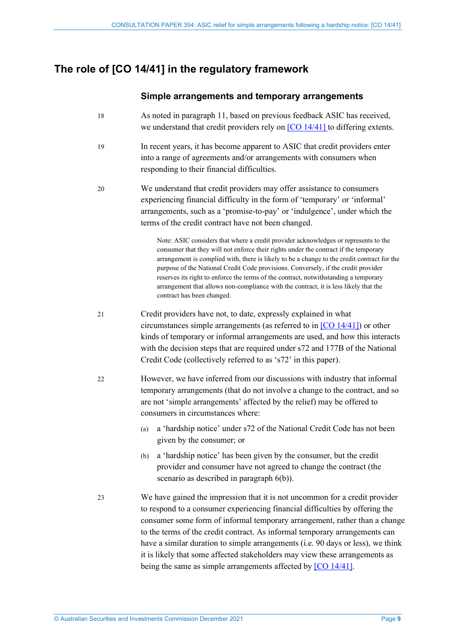### <span id="page-8-0"></span>**The role of [CO 14/41] in the regulatory framework**

### **Simple arrangements and temporary arrangements**

- 18 As noted in paragraph [11,](#page-6-0) based on previous feedback ASIC has received, we understand that credit providers rely on  $[CO 14/41]$  to differing extents.
- 19 In recent years, it has become apparent to ASIC that credit providers enter into a range of agreements and/or arrangements with consumers when responding to their financial difficulties.
- 20 We understand that credit providers may offer assistance to consumers experiencing financial difficulty in the form of 'temporary' or 'informal' arrangements, such as a 'promise-to-pay' or 'indulgence', under which the terms of the credit contract have not been changed.

Note: ASIC considers that where a credit provider acknowledges or represents to the consumer that they will not enforce their rights under the contract if the temporary arrangement is complied with, there is likely to be a change to the credit contract for the purpose of the National Credit Code provisions. Conversely, if the credit provider reserves its right to enforce the terms of the contract, notwithstanding a temporary arrangement that allows non-compliance with the contract, it is less likely that the contract has been changed.

- 21 Credit providers have not, to date, expressly explained in what circumstances simple arrangements (as referred to in [\[CO 14/41\]\)](https://www.legislation.gov.au/Details/F2018C00143) or other kinds of temporary or informal arrangements are used, and how this interacts with the decision steps that are required under s72 and 177B of the National Credit Code (collectively referred to as 's72' in this paper).
- 22 However, we have inferred from our discussions with industry that informal temporary arrangements (that do not involve a change to the contract, and so are not 'simple arrangements' affected by the relief) may be offered to consumers in circumstances where:
	- (a) a 'hardship notice' under s72 of the National Credit Code has not been given by the consumer; or
	- (b) a 'hardship notice' has been given by the consumer, but the credit provider and consumer have not agreed to change the contract (the scenario as described in paragraph [6\(b\)\)](#page-5-3).
- 23 We have gained the impression that it is not uncommon for a credit provider to respond to a consumer experiencing financial difficulties by offering the consumer some form of informal temporary arrangement, rather than a change to the terms of the credit contract. As informal temporary arrangements can have a similar duration to simple arrangements (i.e. 90 days or less), we think it is likely that some affected stakeholders may view these arrangements as being the same as simple arrangements affected by [\[CO 14/41\].](https://www.legislation.gov.au/Details/F2018C00143)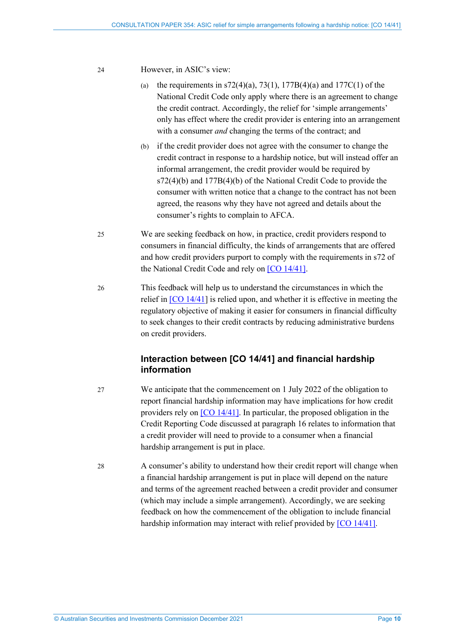#### 24 However, in ASIC's view:

- (a) the requirements in  $s72(4)(a)$ ,  $73(1)$ ,  $177B(4)(a)$  and  $177C(1)$  of the National Credit Code only apply where there is an agreement to change the credit contract. Accordingly, the relief for 'simple arrangements' only has effect where the credit provider is entering into an arrangement with a consumer *and* changing the terms of the contract; and
- (b) if the credit provider does not agree with the consumer to change the credit contract in response to a hardship notice, but will instead offer an informal arrangement, the credit provider would be required by s72(4)(b) and 177B(4)(b) of the National Credit Code to provide the consumer with written notice that a change to the contract has not been agreed, the reasons why they have not agreed and details about the consumer's rights to complain to AFCA.
- 25 We are seeking feedback on how, in practice, credit providers respond to consumers in financial difficulty, the kinds of arrangements that are offered and how credit providers purport to comply with the requirements in s72 of the National Credit Code and rely o[n \[CO 14/41\].](https://www.legislation.gov.au/Details/F2018C00143)
- 26 This feedback will help us to understand the circumstances in which the relief in  $[CO 14/41]$  $[CO 14/41]$  is relied upon, and whether it is effective in meeting the regulatory objective of making it easier for consumers in financial difficulty to seek changes to their credit contracts by reducing administrative burdens on credit providers.

### **Interaction between [CO 14/41] and financial hardship information**

- 27 We anticipate that the commencement on 1 July 2022 of the obligation to report financial hardship information may have implications for how credit providers rely on [CO [14/41\].](https://www.legislation.gov.au/Details/F2018C00143) In particular, the proposed obligation in the Credit Reporting Code discussed at paragrap[h 16](#page-7-1) relates to information that a credit provider will need to provide to a consumer when a financial hardship arrangement is put in place.
- 28 A consumer's ability to understand how their credit report will change when a financial hardship arrangement is put in place will depend on the nature and terms of the agreement reached between a credit provider and consumer (which may include a simple arrangement). Accordingly, we are seeking feedback on how the commencement of the obligation to include financial hardship information may interact with relief provided by [\[CO 14/41\].](https://www.legislation.gov.au/Details/F2018C00143)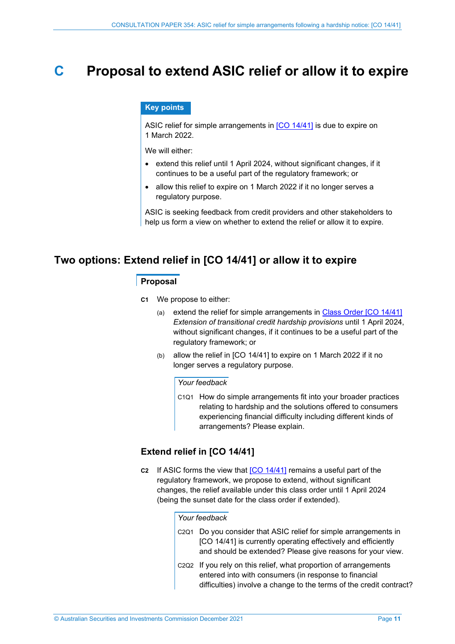### <span id="page-10-0"></span>**C Proposal to extend ASIC relief or allow it to expire**

### **Key points**

ASIC relief for simple arrangements in [CO [14/41\]](https://www.legislation.gov.au/Details/F2018C00143) is due to expire on 1 March 2022.

We will either:

- extend this relief until 1 April 2024, without significant changes, if it continues to be a useful part of the regulatory framework; or
- allow this relief to expire on 1 March 2022 if it no longer serves a regulatory purpose.

ASIC is seeking feedback from credit providers and other stakeholders to help us form a view on whether to extend the relief or allow it to expire.

### <span id="page-10-1"></span>**Two options: Extend relief in [CO 14/41] or allow it to expire**

### **Proposal**

- **C1** We propose to either:
	- (a) extend the relief for simple arrangements in [Class Order \[CO](https://www.legislation.gov.au/Details/F2018C00143) 14/41] *Extension of transitional credit hardship provisions* until 1 April 2024, without significant changes, if it continues to be a useful part of the regulatory framework; or
	- (b) allow the relief in [CO 14/41] to expire on 1 March 2022 if it no longer serves a regulatory purpose.

#### *Your feedback*

C1Q1 How do simple arrangements fit into your broader practices relating to hardship and the solutions offered to consumers experiencing financial difficulty including different kinds of arrangements? Please explain.

### **Extend relief in [CO 14/41]**

**C2** If ASIC forms the view that [CO [14/41\]](https://www.legislation.gov.au/Details/F2018C00143) remains a useful part of the regulatory framework, we propose to extend, without significant changes, the relief available under this class order until 1 April 2024 (being the sunset date for the class order if extended).

*Your feedback* 

- C2Q1 Do you consider that ASIC relief for simple arrangements in [CO 14/41] is currently operating effectively and efficiently and should be extended? Please give reasons for your view.
- C2Q2 If you rely on this relief, what proportion of arrangements entered into with consumers (in response to financial difficulties) involve a change to the terms of the credit contract?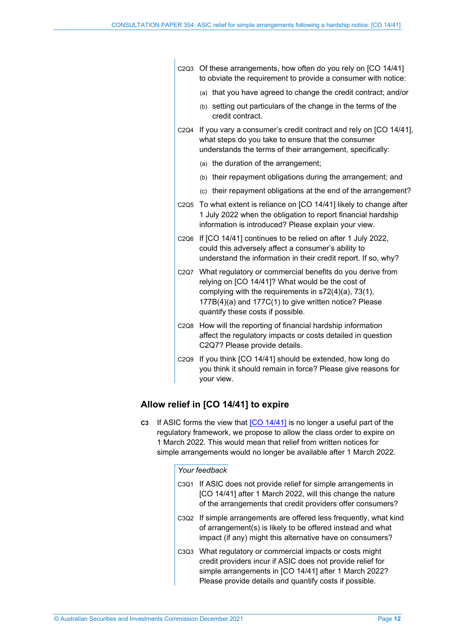| C <sub>2</sub> Q <sub>3</sub> | Of these arrangements, how often do you rely on [CO 14/41]<br>to obviate the requirement to provide a consumer with notice:                                                                                                                                         |  |  |
|-------------------------------|---------------------------------------------------------------------------------------------------------------------------------------------------------------------------------------------------------------------------------------------------------------------|--|--|
|                               | (a) that you have agreed to change the credit contract; and/or                                                                                                                                                                                                      |  |  |
|                               | (b) setting out particulars of the change in the terms of the<br>credit contract.                                                                                                                                                                                   |  |  |
| C2Q4                          | If you vary a consumer's credit contract and rely on [CO 14/41],<br>what steps do you take to ensure that the consumer<br>understands the terms of their arrangement, specifically:                                                                                 |  |  |
|                               | (a) the duration of the arrangement;                                                                                                                                                                                                                                |  |  |
|                               | (b) their repayment obligations during the arrangement; and                                                                                                                                                                                                         |  |  |
|                               | (c) their repayment obligations at the end of the arrangement?                                                                                                                                                                                                      |  |  |
| C <sub>2</sub> Q <sub>5</sub> | To what extent is reliance on [CO 14/41] likely to change after<br>1 July 2022 when the obligation to report financial hardship<br>information is introduced? Please explain your view.                                                                             |  |  |
| C <sub>2Q6</sub>              | If [CO 14/41] continues to be relied on after 1 July 2022,<br>could this adversely affect a consumer's ability to<br>understand the information in their credit report. If so, why?                                                                                 |  |  |
| C2Q7                          | What regulatory or commercial benefits do you derive from<br>relying on [CO 14/41]? What would be the cost of<br>complying with the requirements in s72(4)(a), 73(1),<br>177B(4)(a) and 177C(1) to give written notice? Please<br>quantify these costs if possible. |  |  |
| C <sub>2Q</sub> 8             | How will the reporting of financial hardship information<br>affect the regulatory impacts or costs detailed in question<br>C2Q7? Please provide details.                                                                                                            |  |  |
| C2Q9                          | If you think [CO 14/41] should be extended, how long do<br>you think it should remain in force? Please give reasons for<br>your view.                                                                                                                               |  |  |
|                               |                                                                                                                                                                                                                                                                     |  |  |

### **Allow relief in [CO 14/41] to expire**

**C3** If ASIC forms the view that [CO [14/41\]](https://www.legislation.gov.au/Details/F2018C00143) is no longer a useful part of the regulatory framework, we propose to allow the class order to expire on 1 March 2022. This would mean that relief from written notices for simple arrangements would no longer be available after 1 March 2022.

#### *Your feedback*

- C3Q1 If ASIC does not provide relief for simple arrangements in [CO 14/41] after 1 March 2022, will this change the nature of the arrangements that credit providers offer consumers?
- C3Q2 If simple arrangements are offered less frequently, what kind of arrangement(s) is likely to be offered instead and what impact (if any) might this alternative have on consumers?
- C3Q3 What regulatory or commercial impacts or costs might credit providers incur if ASIC does not provide relief for simple arrangements in [CO 14/41] after 1 March 2022? Please provide details and quantify costs if possible.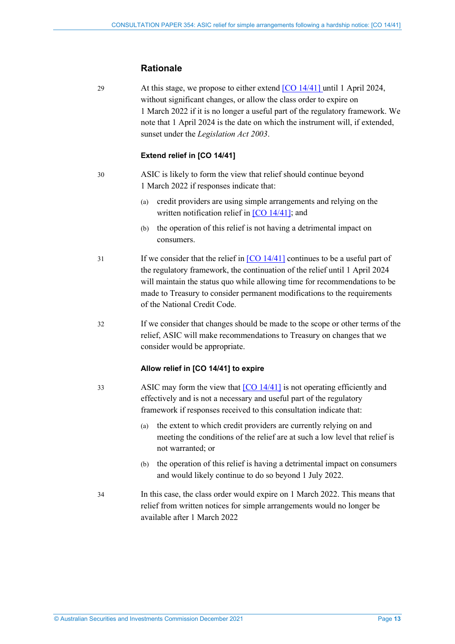### **Rationale**

29 At this stage, we propose to either extend [\[CO 14/41\]](https://www.legislation.gov.au/Details/F2018C00143) until 1 April 2024, without significant changes, or allow the class order to expire on 1 March 2022 if it is no longer a useful part of the regulatory framework. We note that 1 April 2024 is the date on which the instrument will, if extended, sunset under the *Legislation Act 2003*.

### **Extend relief in [CO 14/41]**

30 ASIC is likely to form the view that relief should continue beyond 1 March 2022 if responses indicate that:

- (a) credit providers are using simple arrangements and relying on the written notification relief in [\[CO 14/41\];](https://www.legislation.gov.au/Details/F2018C00143) and
- (b) the operation of this relief is not having a detrimental impact on consumers.
- 31 If we consider that the relief in  $[CO 14/41]$  continues to be a useful part of the regulatory framework, the continuation of the relief until 1 April 2024 will maintain the status quo while allowing time for recommendations to be made to Treasury to consider permanent modifications to the requirements of the National Credit Code.
- 32 If we consider that changes should be made to the scope or other terms of the relief, ASIC will make recommendations to Treasury on changes that we consider would be appropriate.

### **Allow relief in [CO 14/41] to expire**

- 33 ASIC may form the view that [CO [14/41\]](https://www.legislation.gov.au/Details/F2018C00143) is not operating efficiently and effectively and is not a necessary and useful part of the regulatory framework if responses received to this consultation indicate that:
	- (a) the extent to which credit providers are currently relying on and meeting the conditions of the relief are at such a low level that relief is not warranted; or
	- (b) the operation of this relief is having a detrimental impact on consumers and would likely continue to do so beyond 1 July 2022.
- 34 In this case, the class order would expire on 1 March 2022. This means that relief from written notices for simple arrangements would no longer be available after 1 March 2022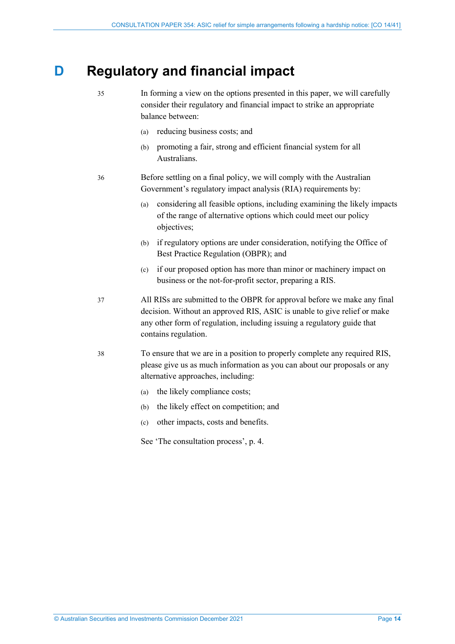### <span id="page-13-0"></span>**D Regulatory and financial impact**

35 In forming a view on the options presented in this paper, we will carefully consider their regulatory and financial impact to strike an appropriate balance between:

- (a) reducing business costs; and
- (b) promoting a fair, strong and efficient financial system for all Australians.

36 Before settling on a final policy, we will comply with the Australian Government's regulatory impact analysis (RIA) requirements by:

- (a) considering all feasible options, including examining the likely impacts of the range of alternative options which could meet our policy objectives;
- (b) if regulatory options are under consideration, notifying the Office of Best Practice Regulation (OBPR); and
- (c) if our proposed option has more than minor or machinery impact on business or the not-for-profit sector, preparing a RIS.
- 37 All RISs are submitted to the OBPR for approval before we make any final decision. Without an approved RIS, ASIC is unable to give relief or make any other form of regulation, including issuing a regulatory guide that contains regulation.
- 38 To ensure that we are in a position to properly complete any required RIS, please give us as much information as you can about our proposals or any alternative approaches, including:
	- (a) the likely compliance costs;
	- (b) the likely effect on competition; and
	- (c) other impacts, costs and benefits.
	- See 'The consultation process', p. [4](#page-3-1).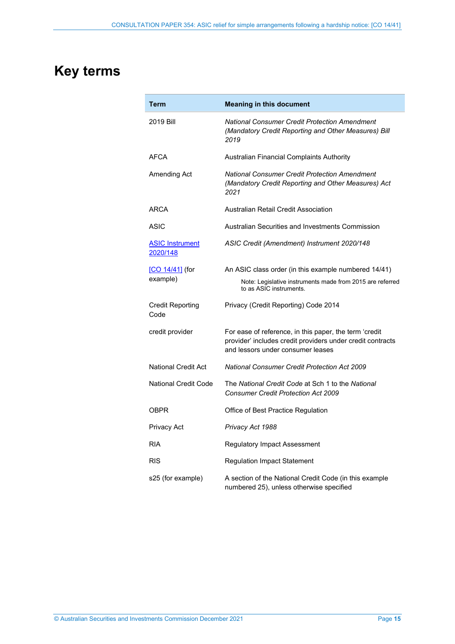# <span id="page-14-0"></span>**Key terms**

| Term                               | <b>Meaning in this document</b>                                                                                                                           |  |  |  |
|------------------------------------|-----------------------------------------------------------------------------------------------------------------------------------------------------------|--|--|--|
| 2019 Bill                          | <b>National Consumer Credit Protection Amendment</b><br>(Mandatory Credit Reporting and Other Measures) Bill<br>2019                                      |  |  |  |
| <b>AFCA</b>                        | Australian Financial Complaints Authority                                                                                                                 |  |  |  |
| Amending Act                       | <b>National Consumer Credit Protection Amendment</b><br>(Mandatory Credit Reporting and Other Measures) Act<br>2021                                       |  |  |  |
| ARCA                               | Australian Retail Credit Association                                                                                                                      |  |  |  |
| ASIC                               | Australian Securities and Investments Commission                                                                                                          |  |  |  |
| <b>ASIC Instrument</b><br>2020/148 | ASIC Credit (Amendment) Instrument 2020/148                                                                                                               |  |  |  |
| [CO 14/41] (for                    | An ASIC class order (in this example numbered 14/41)                                                                                                      |  |  |  |
| example)                           | Note: Legislative instruments made from 2015 are referred<br>to as ASIC instruments.                                                                      |  |  |  |
| <b>Credit Reporting</b><br>Code    | Privacy (Credit Reporting) Code 2014                                                                                                                      |  |  |  |
| credit provider                    | For ease of reference, in this paper, the term 'credit<br>provider' includes credit providers under credit contracts<br>and lessors under consumer leases |  |  |  |
| <b>National Credit Act</b>         | <b>National Consumer Credit Protection Act 2009</b>                                                                                                       |  |  |  |
| <b>National Credit Code</b>        | The National Credit Code at Sch 1 to the National<br><b>Consumer Credit Protection Act 2009</b>                                                           |  |  |  |
| <b>OBPR</b>                        | Office of Best Practice Regulation                                                                                                                        |  |  |  |
| Privacy Act                        | Privacy Act 1988                                                                                                                                          |  |  |  |
| <b>RIA</b>                         | Regulatory Impact Assessment                                                                                                                              |  |  |  |
| <b>RIS</b>                         | <b>Regulation Impact Statement</b>                                                                                                                        |  |  |  |
| s25 (for example)                  | A section of the National Credit Code (in this example<br>numbered 25), unless otherwise specified                                                        |  |  |  |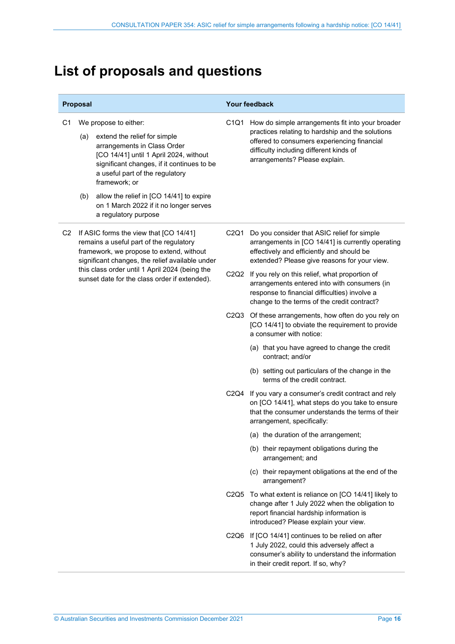# <span id="page-15-0"></span>**List of proposals and questions**

| Proposal |                                                                                                                                                    | Your feedback                                                                                                                                                                                                                                                                                                          |      |                                                                                                                                                                                                                                                     |
|----------|----------------------------------------------------------------------------------------------------------------------------------------------------|------------------------------------------------------------------------------------------------------------------------------------------------------------------------------------------------------------------------------------------------------------------------------------------------------------------------|------|-----------------------------------------------------------------------------------------------------------------------------------------------------------------------------------------------------------------------------------------------------|
| C1       | (a)<br>(b)                                                                                                                                         | We propose to either:<br>extend the relief for simple<br>arrangements in Class Order<br>[CO 14/41] until 1 April 2024, without<br>significant changes, if it continues to be<br>a useful part of the regulatory<br>framework; or<br>allow the relief in [CO 14/41] to expire<br>on 1 March 2022 if it no longer serves | C1Q1 | How do simple arrangements fit into your broader<br>practices relating to hardship and the solutions<br>offered to consumers experiencing financial<br>difficulty including different kinds of<br>arrangements? Please explain.                     |
| C2       |                                                                                                                                                    | a regulatory purpose<br>If ASIC forms the view that [CO 14/41]<br>remains a useful part of the regulatory<br>framework, we propose to extend, without                                                                                                                                                                  | C2Q1 | Do you consider that ASIC relief for simple<br>arrangements in [CO 14/41] is currently operating<br>effectively and efficiently and should be                                                                                                       |
|          | significant changes, the relief available under<br>this class order until 1 April 2024 (being the<br>sunset date for the class order if extended). |                                                                                                                                                                                                                                                                                                                        |      | extended? Please give reasons for your view.<br>C2Q2 If you rely on this relief, what proportion of<br>arrangements entered into with consumers (in<br>response to financial difficulties) involve a<br>change to the terms of the credit contract? |
|          |                                                                                                                                                    |                                                                                                                                                                                                                                                                                                                        |      | C2Q3 Of these arrangements, how often do you rely on<br>[CO 14/41] to obviate the requirement to provide<br>a consumer with notice:                                                                                                                 |
|          |                                                                                                                                                    |                                                                                                                                                                                                                                                                                                                        |      | (a) that you have agreed to change the credit<br>contract; and/or                                                                                                                                                                                   |
|          |                                                                                                                                                    |                                                                                                                                                                                                                                                                                                                        |      | (b) setting out particulars of the change in the<br>terms of the credit contract.                                                                                                                                                                   |
|          |                                                                                                                                                    |                                                                                                                                                                                                                                                                                                                        |      | C2Q4 If you vary a consumer's credit contract and rely<br>on [CO 14/41], what steps do you take to ensure<br>that the consumer understands the terms of their<br>arrangement, specifically:                                                         |
|          |                                                                                                                                                    |                                                                                                                                                                                                                                                                                                                        |      | (a) the duration of the arrangement;                                                                                                                                                                                                                |
|          |                                                                                                                                                    |                                                                                                                                                                                                                                                                                                                        |      | (b) their repayment obligations during the<br>arrangement; and                                                                                                                                                                                      |
|          |                                                                                                                                                    |                                                                                                                                                                                                                                                                                                                        |      | (c) their repayment obligations at the end of the<br>arrangement?                                                                                                                                                                                   |
|          |                                                                                                                                                    |                                                                                                                                                                                                                                                                                                                        |      | C2Q5 To what extent is reliance on [CO 14/41] likely to<br>change after 1 July 2022 when the obligation to<br>report financial hardship information is<br>introduced? Please explain your view.                                                     |
|          |                                                                                                                                                    |                                                                                                                                                                                                                                                                                                                        |      | C2Q6 If [CO 14/41] continues to be relied on after<br>1 July 2022, could this adversely affect a<br>consumer's ability to understand the information<br>in their credit report. If so, why?                                                         |